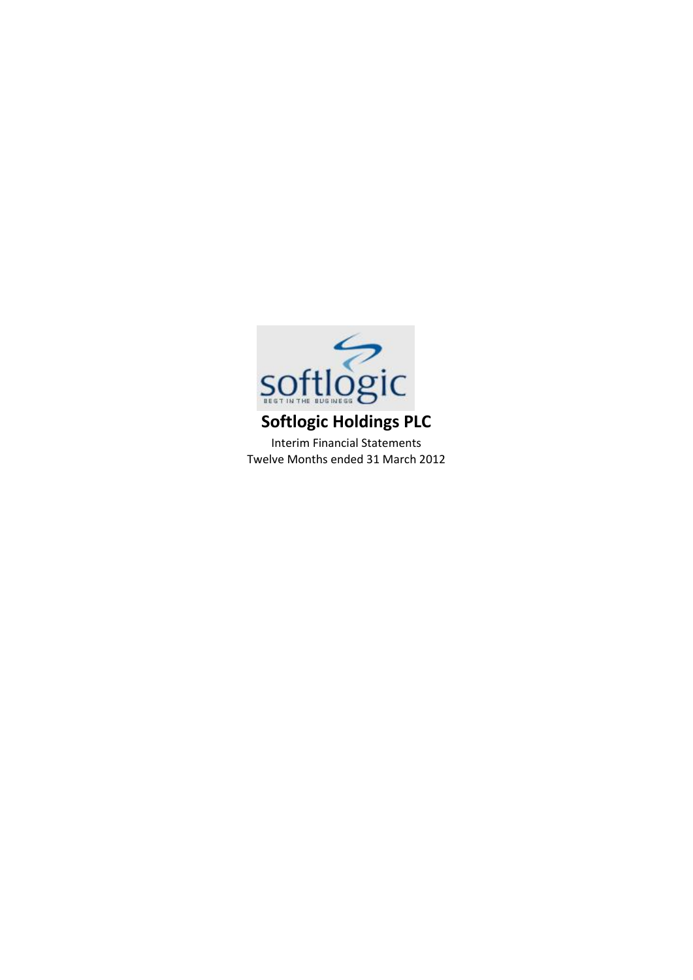

Interim Financial Statements Twelve Months ended 31 March 2012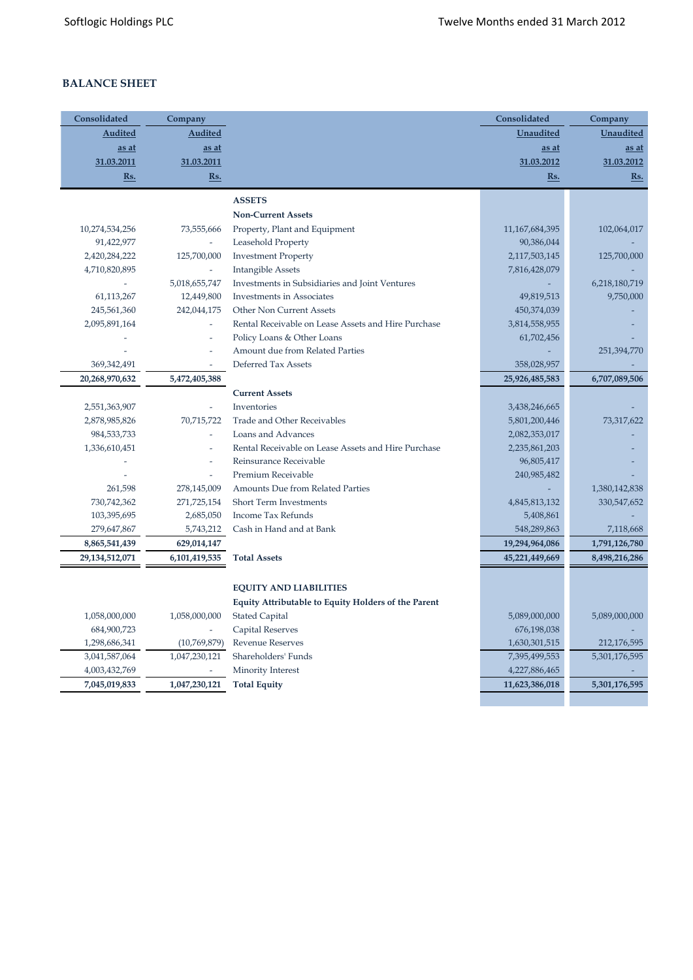# **BALANCE SHEET**

| Consolidated   | Company                  |                                                            | Consolidated      | Company          |
|----------------|--------------------------|------------------------------------------------------------|-------------------|------------------|
| Audited        | <b>Audited</b>           |                                                            | <b>Unaudited</b>  | <b>Unaudited</b> |
| as at          | as at                    |                                                            | as at             | <u>as at</u>     |
| 31.03.2011     | 31.03.2011               |                                                            | 31.03.2012        | 31.03.2012       |
| <u>Rs.</u>     | Rs.                      |                                                            | $Rs.$             | Rs.              |
|                |                          | <b>ASSETS</b>                                              |                   |                  |
|                |                          | <b>Non-Current Assets</b>                                  |                   |                  |
| 10,274,534,256 | 73,555,666               | Property, Plant and Equipment                              | 11, 167, 684, 395 | 102,064,017      |
| 91,422,977     | $\omega$                 | Leasehold Property                                         | 90,386,044        |                  |
| 2,420,284,222  | 125,700,000              | <b>Investment Property</b>                                 | 2,117,503,145     | 125,700,000      |
| 4,710,820,895  | $\overline{a}$           | <b>Intangible Assets</b>                                   | 7,816,428,079     |                  |
|                | 5,018,655,747            | Investments in Subsidiaries and Joint Ventures             |                   | 6,218,180,719    |
| 61,113,267     | 12,449,800               | Investments in Associates                                  | 49,819,513        | 9,750,000        |
| 245,561,360    | 242,044,175              | <b>Other Non Current Assets</b>                            | 450,374,039       |                  |
| 2,095,891,164  | ÷,                       | Rental Receivable on Lease Assets and Hire Purchase        | 3,814,558,955     |                  |
|                | $\overline{a}$           | Policy Loans & Other Loans                                 | 61,702,456        |                  |
|                |                          | Amount due from Related Parties                            |                   | 251,394,770      |
| 369,342,491    |                          | Deferred Tax Assets                                        | 358,028,957       |                  |
| 20,268,970,632 | 5,472,405,388            |                                                            | 25,926,485,583    | 6,707,089,506    |
|                |                          | <b>Current Assets</b>                                      |                   |                  |
| 2,551,363,907  |                          | Inventories                                                | 3,438,246,665     |                  |
| 2,878,985,826  | 70,715,722               | Trade and Other Receivables                                | 5,801,200,446     | 73,317,622       |
| 984,533,733    | $\overline{\phantom{a}}$ | Loans and Advances                                         | 2,082,353,017     |                  |
| 1,336,610,451  | L,                       | Rental Receivable on Lease Assets and Hire Purchase        | 2,235,861,203     |                  |
|                | L,                       | Reinsurance Receivable                                     | 96,805,417        |                  |
|                | $\overline{\phantom{a}}$ | Premium Receivable                                         | 240,985,482       |                  |
| 261,598        | 278,145,009              | Amounts Due from Related Parties                           |                   | 1,380,142,838    |
| 730,742,362    | 271,725,154              | <b>Short Term Investments</b>                              | 4,845,813,132     | 330,547,652      |
| 103,395,695    | 2,685,050                | Income Tax Refunds                                         | 5,408,861         |                  |
| 279,647,867    | 5,743,212                | Cash in Hand and at Bank                                   | 548,289,863       | 7,118,668        |
| 8,865,541,439  | 629,014,147              |                                                            | 19,294,964,086    | 1,791,126,780    |
| 29,134,512,071 | 6,101,419,535            | <b>Total Assets</b>                                        | 45,221,449,669    | 8,498,216,286    |
|                |                          |                                                            |                   |                  |
|                |                          | <b>EQUITY AND LIABILITIES</b>                              |                   |                  |
|                |                          | <b>Equity Attributable to Equity Holders of the Parent</b> |                   |                  |
| 1,058,000,000  | 1,058,000,000            | <b>Stated Capital</b>                                      | 5,089,000,000     | 5,089,000,000    |
| 684,900,723    |                          | <b>Capital Reserves</b>                                    | 676,198,038       |                  |
| 1,298,686,341  | (10,769,879)             | <b>Revenue Reserves</b>                                    | 1,630,301,515     | 212,176,595      |
| 3,041,587,064  | 1,047,230,121            | Shareholders' Funds                                        | 7,395,499,553     | 5,301,176,595    |
| 4,003,432,769  |                          | Minority Interest                                          | 4,227,886,465     |                  |
| 7,045,019,833  | 1,047,230,121            | <b>Total Equity</b>                                        | 11,623,386,018    | 5,301,176,595    |
|                |                          |                                                            |                   |                  |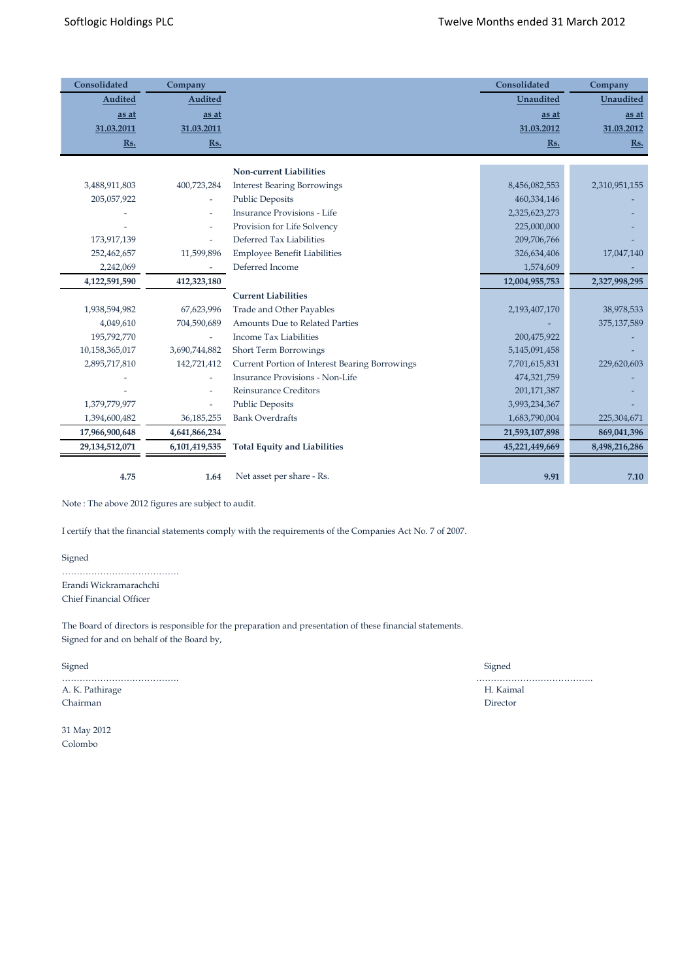| Consolidated   | Company                  |                                                | Consolidated     | Company          |
|----------------|--------------------------|------------------------------------------------|------------------|------------------|
| Audited        | <b>Audited</b>           |                                                | <b>Unaudited</b> | <b>Unaudited</b> |
| as at          | as at                    |                                                | as at            | as at            |
| 31.03.2011     | 31.03.2011               |                                                | 31.03.2012       | 31.03.2012       |
| Rs.            | Rs.                      |                                                | Rs.              | Rs.              |
|                |                          | <b>Non-current Liabilities</b>                 |                  |                  |
| 3,488,911,803  | 400,723,284              | <b>Interest Bearing Borrowings</b>             | 8,456,082,553    | 2,310,951,155    |
| 205,057,922    | $\overline{\phantom{a}}$ | <b>Public Deposits</b>                         | 460,334,146      |                  |
|                |                          | <b>Insurance Provisions - Life</b>             | 2,325,623,273    |                  |
|                | $\overline{a}$           | Provision for Life Solvency                    | 225,000,000      |                  |
| 173,917,139    | $\overline{\phantom{a}}$ | Deferred Tax Liabilities                       | 209,706,766      |                  |
| 252,462,657    | 11,599,896               | <b>Employee Benefit Liabilities</b>            | 326,634,406      | 17,047,140       |
| 2,242,069      |                          | Deferred Income                                | 1,574,609        |                  |
| 4,122,591,590  | 412,323,180              |                                                | 12,004,955,753   | 2,327,998,295    |
|                |                          | <b>Current Liabilities</b>                     |                  |                  |
| 1,938,594,982  | 67,623,996               | Trade and Other Payables                       | 2,193,407,170    | 38,978,533       |
| 4,049,610      | 704,590,689              | <b>Amounts Due to Related Parties</b>          |                  | 375,137,589      |
| 195,792,770    | $\overline{\phantom{0}}$ | <b>Income Tax Liabilities</b>                  | 200,475,922      |                  |
| 10,158,365,017 | 3,690,744,882            | Short Term Borrowings                          | 5,145,091,458    |                  |
| 2,895,717,810  | 142,721,412              | Current Portion of Interest Bearing Borrowings | 7,701,615,831    | 229,620,603      |
|                |                          | <b>Insurance Provisions - Non-Life</b>         | 474,321,759      |                  |
|                |                          | <b>Reinsurance Creditors</b>                   | 201, 171, 387    |                  |
| 1,379,779,977  |                          | <b>Public Deposits</b>                         | 3,993,234,367    |                  |
| 1,394,600,482  | 36,185,255               | <b>Bank Overdrafts</b>                         | 1,683,790,004    | 225,304,671      |
| 17,966,900,648 | 4,641,866,234            |                                                | 21,593,107,898   | 869,041,396      |
| 29,134,512,071 | 6,101,419,535            | <b>Total Equity and Liabilities</b>            | 45,221,449,669   | 8,498,216,286    |
|                |                          |                                                |                  |                  |
| 4.75           | 1.64                     | Net asset per share - Rs.                      | 9.91             | 7.10             |

Note : The above 2012 figures are subject to audit.

I certify that the financial statements comply with the requirements of the Companies Act No. 7 of 2007.

Signed

…………………………………. Erandi Wickramarachchi Chief Financial Officer

The Board of directors is responsible for the preparation and presentation of these financial statements. Signed for and on behalf of the Board by,

Signed Signed

…………………………………. …………………………………. A. K. Pathirage H. Kaimal Chairman Director

31 May 2012 Colombo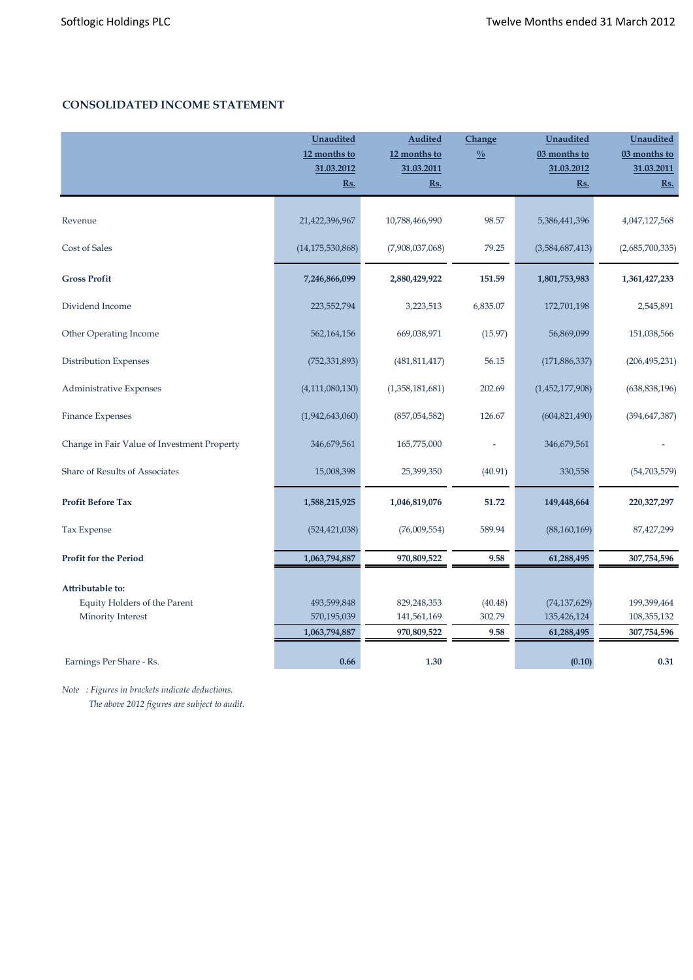# **CONSOLIDATED INCOME STATEMENT**

|                                             | <b>Unaudited</b><br>12 months to<br>31.03.2012<br>Rs. | <b>Audited</b><br>12 months to<br>31.03.2011<br><u>Rs.</u> | Change<br>$\frac{0}{0}$ | Unaudited<br>03 months to<br>31.03.2012<br>$Rs.$ | Unaudited<br>03 months to<br>31.03.2011<br>$\underline{\mathbf{Rs.}}$ |
|---------------------------------------------|-------------------------------------------------------|------------------------------------------------------------|-------------------------|--------------------------------------------------|-----------------------------------------------------------------------|
|                                             |                                                       |                                                            |                         |                                                  |                                                                       |
| Revenue                                     | 21,422,396,967                                        | 10,788,466,990                                             | 98.57                   | 5,386,441,396                                    | 4,047,127,568                                                         |
| Cost of Sales                               | (14, 175, 530, 868)                                   | (7,908,037,068)                                            | 79.25                   | (3,584,687,413)                                  | (2,685,700,335)                                                       |
| <b>Gross Profit</b>                         | 7,246,866,099                                         | 2,880,429,922                                              | 151.59                  | 1,801,753,983                                    | 1,361,427,233                                                         |
| Dividend Income                             | 223,552,794                                           | 3,223,513                                                  | 6,835.07                | 172,701,198                                      | 2,545,891                                                             |
| Other Operating Income                      | 562,164,156                                           | 669,038,971                                                | (15.97)                 | 56,869,099                                       | 151,038,566                                                           |
| Distribution Expenses                       | (752, 331, 893)                                       | (481, 811, 417)                                            | 56.15                   | (171, 886, 337)                                  | (206, 495, 231)                                                       |
| Administrative Expenses                     | (4, 111, 080, 130)                                    | (1,358,181,681)                                            | 202.69                  | (1,452,177,908)                                  | (638, 838, 196)                                                       |
| Finance Expenses                            | (1,942,643,060)                                       | (857,054,582)                                              | 126.67                  | (604, 821, 490)                                  | (394, 647, 387)                                                       |
| Change in Fair Value of Investment Property | 346,679,561                                           | 165,775,000                                                |                         | 346,679,561                                      |                                                                       |
| Share of Results of Associates              | 15,008,398                                            | 25,399,350                                                 | (40.91)                 | 330,558                                          | (54, 703, 579)                                                        |
| <b>Profit Before Tax</b>                    | 1,588,215,925                                         | 1,046,819,076                                              | 51.72                   | 149,448,664                                      | 220, 327, 297                                                         |
| Tax Expense                                 | (524, 421, 038)                                       | (76,009,554)                                               | 589.94                  | (88, 160, 169)                                   | 87,427,299                                                            |
| <b>Profit for the Period</b>                | 1,063,794,887                                         | 970,809,522                                                | 9.58                    | 61,288,495                                       | 307,754,596                                                           |
| Attributable to:                            |                                                       |                                                            |                         |                                                  |                                                                       |
| Equity Holders of the Parent                | 493,599,848                                           | 829,248,353                                                | (40.48)                 | (74, 137, 629)                                   | 199,399,464                                                           |
| Minority Interest                           | 570,195,039                                           | 141,561,169                                                | 302.79                  | 135,426,124                                      | 108,355,132                                                           |
|                                             | 1,063,794,887                                         | 970,809,522                                                | 9.58                    | 61,288,495                                       | 307,754,596                                                           |
| Earnings Per Share - Rs.                    | 0.66                                                  | 1.30                                                       |                         | (0.10)                                           | 0.31                                                                  |

*Note : Figures in brackets indicate deductions. The above 2012 figures are subject to audit.*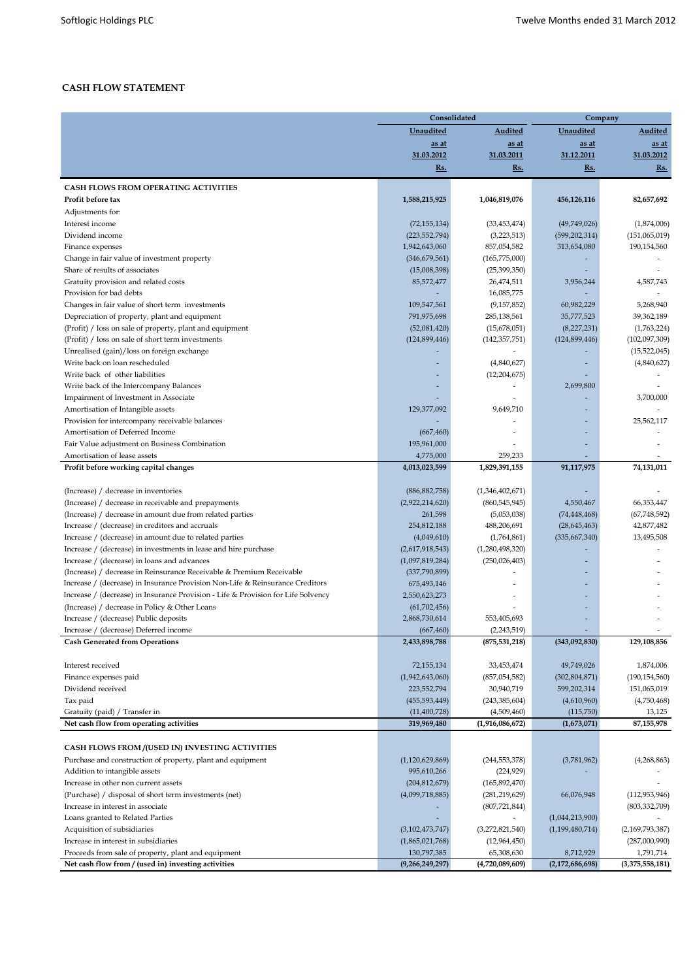# **CASH FLOW STATEMENT**

|                                                                                                               |                                    | Consolidated                       | Company                          |                              |  |  |
|---------------------------------------------------------------------------------------------------------------|------------------------------------|------------------------------------|----------------------------------|------------------------------|--|--|
|                                                                                                               | Unaudited                          | <b>Audited</b>                     | Unaudited                        | Audited                      |  |  |
|                                                                                                               | as at                              | <u>as at</u>                       | as at                            | <u>as at</u>                 |  |  |
|                                                                                                               | 31.03.2012                         | 31.03.2011                         | 31.12.2011                       | 31.03.2012                   |  |  |
|                                                                                                               | Rs.                                | Rs.                                | Rs.                              | Rs.                          |  |  |
| <b>CASH FLOWS FROM OPERATING ACTIVITIES</b>                                                                   |                                    |                                    |                                  |                              |  |  |
| Profit before tax                                                                                             | 1,588,215,925                      | 1,046,819,076                      | 456,126,116                      | 82,657,692                   |  |  |
| Adjustments for:                                                                                              |                                    |                                    |                                  |                              |  |  |
| Interest income                                                                                               | (72, 155, 134)                     | (33, 453, 474)                     | (49,749,026)                     | (1,874,006)                  |  |  |
| Dividend income                                                                                               | (223, 552, 794)                    | (3,223,513)                        | (599, 202, 314)                  | (151,065,019)                |  |  |
| Finance expenses                                                                                              | 1,942,643,060                      | 857,054,582                        | 313,654,080                      | 190,154,560                  |  |  |
| Change in fair value of investment property                                                                   | (346, 679, 561)                    | (165,775,000)                      |                                  |                              |  |  |
| Share of results of associates                                                                                | (15,008,398)                       | (25, 399, 350)                     |                                  |                              |  |  |
| Gratuity provision and related costs                                                                          | 85,572,477                         | 26,474,511                         | 3,956,244                        | 4,587,743                    |  |  |
| Provision for bad debts                                                                                       |                                    | 16,085,775                         |                                  |                              |  |  |
| Changes in fair value of short term investments                                                               | 109,547,561                        | (9, 157, 852)                      | 60,982,229                       | 5,268,940                    |  |  |
| Depreciation of property, plant and equipment                                                                 | 791,975,698                        | 285,138,561                        | 35,777,523                       | 39,362,189                   |  |  |
| (Profit) / loss on sale of property, plant and equipment<br>(Profit) / loss on sale of short term investments | (52,081,420)<br>(124, 899, 446)    | (15,678,051)                       | (8,227,231)<br>(124, 899, 446)   | (1,763,224)<br>(102,097,309) |  |  |
| Unrealised (gain)/loss on foreign exchange                                                                    |                                    | (142, 357, 751)                    |                                  | (15, 522, 045)               |  |  |
| Write back on loan rescheduled                                                                                |                                    | (4,840,627)                        |                                  | (4,840,627)                  |  |  |
| Write back of other liabilities                                                                               |                                    | (12,204,675)                       |                                  |                              |  |  |
| Write back of the Intercompany Balances                                                                       |                                    |                                    | 2,699,800                        |                              |  |  |
| Impairment of Investment in Associate                                                                         |                                    |                                    |                                  | 3,700,000                    |  |  |
| Amortisation of Intangible assets                                                                             | 129,377,092                        | 9.649.710                          |                                  |                              |  |  |
| Provision for intercompany receivable balances                                                                |                                    |                                    |                                  | 25,562,117                   |  |  |
| Amortisation of Deferred Income                                                                               | (667, 460)                         |                                    |                                  |                              |  |  |
| Fair Value adjustment on Business Combination                                                                 | 195,961,000                        |                                    |                                  |                              |  |  |
| Amortisation of lease assets                                                                                  | 4,775,000                          | 259,233                            |                                  |                              |  |  |
| Profit before working capital changes                                                                         | 4,013,023,599                      | 1,829,391,155                      | 91,117,975                       | 74,131,011                   |  |  |
|                                                                                                               |                                    |                                    |                                  |                              |  |  |
| (Increase) / decrease in inventories                                                                          | (886, 882, 758)                    | (1,346,402,671)                    |                                  |                              |  |  |
| (Increase) / decrease in receivable and prepayments                                                           | (2,922,214,620)                    | (860, 545, 945)                    | 4,550,467                        | 66, 353, 447                 |  |  |
| (Increase) / decrease in amount due from related parties<br>Increase / (decrease) in creditors and accruals   | 261,598<br>254,812,188             | (5,053,038)<br>488,206,691         | (74, 448, 468)<br>(28, 645, 463) | (67, 748, 592)<br>42,877,482 |  |  |
| Increase / (decrease) in amount due to related parties                                                        | (4,049,610)                        | (1,764,861)                        | (335, 667, 340)                  | 13,495,508                   |  |  |
| Increase / (decrease) in investments in lease and hire purchase                                               | (2,617,918,543)                    | (1,280,498,320)                    |                                  |                              |  |  |
| Increase / (decrease) in loans and advances                                                                   | (1,097,819,284)                    | (250, 026, 403)                    |                                  |                              |  |  |
| (Increase) / decrease in Reinsurance Receivable & Premium Receivable                                          | (337,790,899)                      |                                    |                                  |                              |  |  |
| Increase / (decrease) in Insurance Provision Non-Life & Reinsurance Creditors                                 | 675,493,146                        |                                    |                                  |                              |  |  |
| Increase / (decrease) in Insurance Provision - Life & Provision for Life Solvency                             | 2,550,623,273                      |                                    |                                  |                              |  |  |
| (Increase) / decrease in Policy & Other Loans                                                                 | (61,702,456)                       |                                    |                                  |                              |  |  |
| Increase / (decrease) Public deposits                                                                         | 2,868,730,614                      | 553,405,693                        |                                  |                              |  |  |
| Increase / (decrease) Deferred income                                                                         | (667, 460)                         | (2,243,519)                        |                                  |                              |  |  |
| <b>Cash Generated from Operations</b>                                                                         | 2,433,898,788                      | (875, 531, 218)                    | (343,092,830)                    | 129,108,856                  |  |  |
| Interest received                                                                                             |                                    | 33,453,474                         | 49,749,026                       | 1,874,006                    |  |  |
| Finance expenses paid                                                                                         | 72,155,134<br>(1,942,643,060)      | (857, 054, 582)                    | (302, 804, 871)                  | (190, 154, 560)              |  |  |
| Dividend received                                                                                             | 223,552,794                        | 30,940,719                         | 599,202,314                      | 151,065,019                  |  |  |
| Tax paid                                                                                                      | (455, 593, 449)                    | (243, 385, 604)                    | (4,610,960)                      | (4,750,468)                  |  |  |
| Gratuity (paid) / Transfer in                                                                                 | (11, 400, 728)                     | (4,509,460)                        | (115,750)                        | 13,125                       |  |  |
| Net cash flow from operating activities                                                                       | 319,969,480                        | (1,916,086,672)                    | (1,673,071)                      | 87,155,978                   |  |  |
|                                                                                                               |                                    |                                    |                                  |                              |  |  |
| CASH FLOWS FROM /(USED IN) INVESTING ACTIVITIES                                                               |                                    |                                    |                                  |                              |  |  |
| Purchase and construction of property, plant and equipment                                                    | (1,120,629,869)                    | (244, 553, 378)                    | (3,781,962)                      | (4,268,863)                  |  |  |
| Addition to intangible assets                                                                                 | 995,610,266                        | (224, 929)                         |                                  |                              |  |  |
| Increase in other non current assets<br>(Purchase) / disposal of short term investments (net)                 | (204, 812, 679)<br>(4,099,718,885) | (165, 892, 470)<br>(281, 219, 629) | 66,076,948                       | (112, 953, 946)              |  |  |
| Increase in interest in associate                                                                             |                                    | (807, 721, 844)                    |                                  | (803, 332, 709)              |  |  |
| Loans granted to Related Parties                                                                              |                                    |                                    | (1,044,213,900)                  |                              |  |  |
| Acquisition of subsidiaries                                                                                   | (3, 102, 473, 747)                 | (3,272,821,540)                    | (1, 199, 480, 714)               | (2,169,793,387)              |  |  |
| Increase in interest in subsidiaries                                                                          | (1,865,021,768)                    | (12,964,450)                       |                                  | (287,000,990)                |  |  |
| Proceeds from sale of property, plant and equipment                                                           | 130,797,385                        | 65,308,630                         | 8,712,929                        | 1,791,714                    |  |  |
| Net cash flow from / (used in) investing activities                                                           | (9,266,249,297)                    | (4,720,089,609)                    | (2,172,686,698)                  | (3,375,558,181)              |  |  |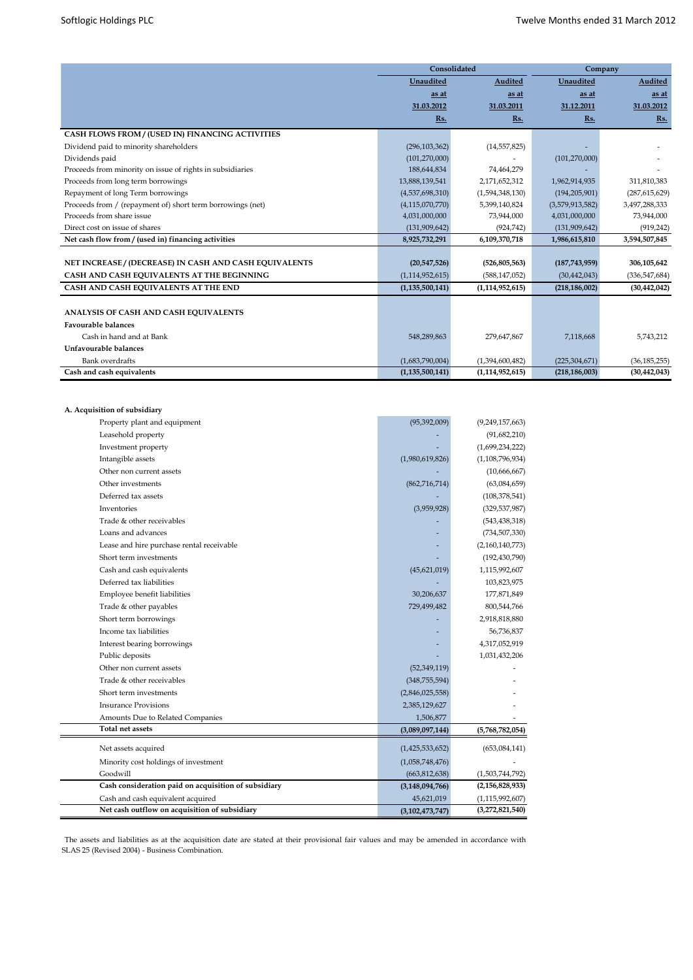|                                                            | Consolidated       |                    | Company         |                 |  |  |
|------------------------------------------------------------|--------------------|--------------------|-----------------|-----------------|--|--|
|                                                            | Unaudited          | Audited            | Unaudited       | Audited         |  |  |
|                                                            | as at              | as at              | as at           | as at           |  |  |
|                                                            | 31.03.2012         | 31.03.2011         | 31.12.2011      | 31.03.2012      |  |  |
|                                                            | Rs.                | Rs.                | Rs.             | Rs.             |  |  |
| CASH FLOWS FROM / (USED IN) FINANCING ACTIVITIES           |                    |                    |                 |                 |  |  |
| Dividend paid to minority shareholders                     | (296, 103, 362)    | (14, 557, 825)     |                 |                 |  |  |
| Dividends paid                                             | (101, 270, 000)    |                    | (101, 270, 000) |                 |  |  |
| Proceeds from minority on issue of rights in subsidiaries  | 188,644,834        | 74,464,279         |                 |                 |  |  |
| Proceeds from long term borrowings                         | 13,888,139,541     | 2,171,652,312      | 1,962,914,935   | 311,810,383     |  |  |
| Repayment of long Term borrowings                          | (4,537,698,310)    | (1,594,348,130)    | (194, 205, 901) | (287, 615, 629) |  |  |
| Proceeds from / (repayment of) short term borrowings (net) | (4, 115, 070, 770) | 5,399,140,824      | (3,579,913,582) | 3,497,288,333   |  |  |
| Proceeds from share issue                                  | 4,031,000,000      | 73.944.000         | 4,031,000,000   | 73,944,000      |  |  |
| Direct cost on issue of shares                             | (131, 909, 642)    | (924, 742)         | (131,909,642)   | (919, 242)      |  |  |
| Net cash flow from / (used in) financing activities        | 8,925,732,291      | 6,109,370,718      | 1,986,615,810   | 3,594,507,845   |  |  |
|                                                            |                    |                    |                 |                 |  |  |
| NET INCREASE / (DECREASE) IN CASH AND CASH EQUIVALENTS     | (20,547,526)       | (526, 805, 563)    | (187, 743, 959) | 306,105,642     |  |  |
| CASH AND CASH EQUIVALENTS AT THE BEGINNING                 | (1, 114, 952, 615) | (588, 147, 052)    | (30, 442, 043)  | (336, 547, 684) |  |  |
| CASH AND CASH EQUIVALENTS AT THE END                       | (1, 135, 500, 141) | (1, 114, 952, 615) | (218, 186, 002) | (30, 442, 042)  |  |  |
|                                                            |                    |                    |                 |                 |  |  |
| ANALYSIS OF CASH AND CASH EQUIVALENTS                      |                    |                    |                 |                 |  |  |
| <b>Favourable balances</b>                                 |                    |                    |                 |                 |  |  |
| Cash in hand and at Bank                                   | 548,289,863        | 279,647,867        | 7,118,668       | 5,743,212       |  |  |
| Unfavourable balances                                      |                    |                    |                 |                 |  |  |
| <b>Bank</b> overdrafts                                     | (1,683,790,004)    | (1,394,600,482)    | (225, 304, 671) | (36, 185, 255)  |  |  |
| Cash and cash equivalents                                  | (1, 135, 500, 141) | (1, 114, 952, 615) | (218, 186, 003) | (30, 442, 043)  |  |  |

| A. Acquisition of subsidiary                         |                    |                    |
|------------------------------------------------------|--------------------|--------------------|
| Property plant and equipment                         | (95, 392, 009)     | (9,249,157,663)    |
| Leasehold property                                   |                    | (91,682,210)       |
| Investment property                                  |                    | (1,699,234,222)    |
| Intangible assets                                    | (1,980,619,826)    | (1, 108, 796, 934) |
| Other non current assets                             |                    | (10,666,667)       |
| Other investments                                    | (862, 716, 714)    | (63,084,659)       |
| Deferred tax assets                                  |                    | (108, 378, 541)    |
| Inventories                                          | (3,959,928)        | (329, 537, 987)    |
| Trade & other receivables                            |                    | (543, 438, 318)    |
| Loans and advances                                   |                    | (734, 507, 330)    |
| Lease and hire purchase rental receivable            |                    | (2,160,140,773)    |
| Short term investments                               |                    | (192, 430, 790)    |
| Cash and cash equivalents                            | (45,621,019)       | 1,115,992,607      |
| Deferred tax liabilities                             |                    | 103,823,975        |
| Employee benefit liabilities                         | 30,206,637         | 177,871,849        |
| Trade & other payables                               | 729,499,482        | 800,544,766        |
| Short term borrowings                                |                    | 2,918,818,880      |
| Income tax liabilities                               |                    | 56,736,837         |
| Interest bearing borrowings                          |                    | 4,317,052,919      |
| Public deposits                                      |                    | 1,031,432,206      |
| Other non current assets                             | (52, 349, 119)     |                    |
| Trade & other receivables                            | (348, 755, 594)    |                    |
| Short term investments                               | (2,846,025,558)    |                    |
| <b>Insurance Provisions</b>                          | 2,385,129,627      |                    |
| Amounts Due to Related Companies                     | 1,506,877          |                    |
| <b>Total net assets</b>                              | (3,089,097,144)    | (5,768,782,054)    |
| Net assets acquired                                  | (1,425,533,652)    | (653,084,141)      |
| Minority cost holdings of investment                 | (1,058,748,476)    |                    |
| Goodwill                                             | (663, 812, 638)    | (1,503,744,792)    |
| Cash consideration paid on acquisition of subsidiary | (3, 148, 094, 766) | (2,156,828,933)    |
| Cash and cash equivalent acquired                    | 45,621,019         | (1, 115, 992, 607) |
| Net cash outflow on acquisition of subsidiary        | (3, 102, 473, 747) | (3,272,821,540)    |

The assets and liabilities as at the acquisition date are stated at their provisional fair values and may be amended in accordance with SLAS 25 (Revised 2004) - Business Combination.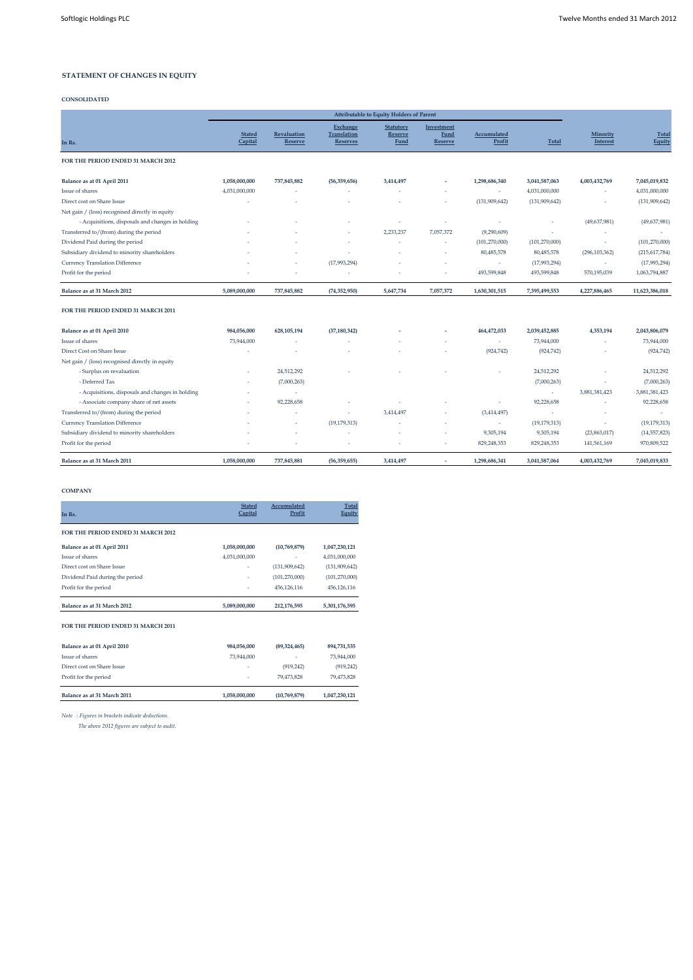#### **STATEMENT OF CHANGES IN EQUITY**

#### **CONSOLIDATED**

|                                                  |                          |                               |                                            | <b>Attributable to Equity Holders of Parent</b>   |                                             |                       |                 |                      |                        |
|--------------------------------------------------|--------------------------|-------------------------------|--------------------------------------------|---------------------------------------------------|---------------------------------------------|-----------------------|-----------------|----------------------|------------------------|
| In Rs.                                           | <b>Stated</b><br>Capital | Revaluation<br><b>Reserve</b> | Exchange<br>Translation<br><b>Reserves</b> | <b>Statutory</b><br><b>Reserve</b><br><b>Fund</b> | Investment<br><b>Fund</b><br><b>Reserve</b> | Accumulated<br>Profit | <b>Total</b>    | Minority<br>Interest | <b>Total</b><br>Equity |
| FOR THE PERIOD ENDED 31 MARCH 2012               |                          |                               |                                            |                                                   |                                             |                       |                 |                      |                        |
| Balance as at 01 April 2011                      | 1,058,000,000            | 737,845,882                   | (56, 359, 656)                             | 3,414,497                                         |                                             | 1,298,686,340         | 3,041,587,063   | 4,003,432,769        | 7,045,019,832          |
| Issue of shares                                  | 4,031,000,000            |                               | ٠                                          |                                                   |                                             | $\sim$                | 4,031,000,000   | ٠                    | 4,031,000,000          |
| Direct cost on Share Issue                       |                          |                               |                                            |                                                   |                                             | (131, 909, 642)       | (131, 909, 642) | ä                    | (131, 909, 642)        |
| Net gain / (loss) recognised directly in equity  |                          |                               |                                            |                                                   |                                             |                       |                 |                      |                        |
| - Acquisitions, disposals and changes in holding |                          |                               |                                            |                                                   | ×,                                          | ٠                     |                 | (49,637,981)         | (49, 637, 981)         |
| Transferred to/(from) during the period          |                          |                               |                                            | 2,233,237                                         | 7,057,372                                   | (9,290,609)           | ٠               | ٠                    |                        |
| Dividend Paid during the period                  |                          |                               | ٠                                          |                                                   | ٠                                           | (101, 270, 000)       | (101, 270, 000) | ٠                    | (101, 270, 000)        |
| Subsidiary dividend to minority shareholders     |                          |                               | ٠                                          |                                                   |                                             | 80,485,578            | 80,485,578      | (296, 103, 362)      | (215, 617, 784)        |
| Currency Translation Difference                  |                          |                               | (17,993,294)                               |                                                   | ٠                                           | ٠                     | (17,993,294)    | ٠                    | (17,993,294)           |
| Profit for the period                            |                          |                               | ٠                                          |                                                   | ٠                                           | 493,599,848           | 493,599,848     | 570,195,039          | 1,063,794,887          |
| Balance as at 31 March 2012                      | 5,089,000,000            | 737,845,882                   | (74, 352, 950)                             | 5,647,734                                         | 7,057,372                                   | 1,630,301,515         | 7,395,499,553   | 4,227,886,465        | 11,623,386,018         |
| FOR THE PERIOD ENDED 31 MARCH 2011               |                          |                               |                                            |                                                   |                                             |                       |                 |                      |                        |
| Balance as at 01 April 2010                      | 984,056,000              | 628,105,194                   | (37, 180, 342)                             |                                                   |                                             | 464,472,033           | 2,039,452,885   | 4,353,194            | 2,043,806,079          |
| Issue of shares                                  | 73,944,000               | ٠                             | ٠                                          |                                                   |                                             | ٠                     | 73,944,000      | ٠                    | 73,944,000             |
| Direct Cost on Share Issue                       |                          |                               |                                            |                                                   |                                             | (924, 742)            | (924, 742)      | ٠                    | (924, 742)             |
| Net gain / (loss) recognised directly in equity  |                          |                               |                                            |                                                   |                                             |                       |                 |                      |                        |
| - Surplus on revaluation                         |                          | 24,512,292                    |                                            |                                                   |                                             |                       | 24,512,292      | i.                   | 24,512,292             |
| - Deferred Tax                                   |                          | (7,000,263)                   |                                            |                                                   |                                             |                       | (7,000,263)     | ٠                    | (7,000,263)            |
| - Acquisitions, disposals and changes in holding |                          | ٠                             |                                            |                                                   |                                             |                       | ٠               | 3,881,381,423        | 3,881,381,423          |
| - Associate company share of net assets          |                          | 92,228,658                    |                                            |                                                   |                                             |                       | 92,228,658      | ٠                    | 92,228,658             |
| Transferred to/(from) during the period          |                          |                               | ٠                                          | 3,414,497                                         | ٠                                           | (3,414,497)           |                 |                      |                        |
| Currency Translation Difference                  |                          | ٠                             | (19, 179, 313)                             |                                                   | ٠                                           | ٠                     | (19, 179, 313)  | ٠                    | (19, 179, 313)         |
| Subsidiary dividend to minority shareholders     |                          |                               |                                            |                                                   |                                             | 9,305,194             | 9,305,194       | (23,863,017)         | (14, 557, 823)         |
| Profit for the period                            |                          |                               | ٠                                          |                                                   |                                             | 829,248,353           | 829,248,353     | 141,561,169          | 970,809,522            |

**Balance as at 31 March 2011 1,058,000,000 737,845,881 (56,359,655) 3,414,497 - 1,298,686,341 3,041,587,064 4,003,432,769 7,045,019,833**

### **COMPANY**

| In Rs.                             | <b>Stated</b><br>Capital | Accumulated<br>Profit | <b>Total</b><br>Equity |
|------------------------------------|--------------------------|-----------------------|------------------------|
| FOR THE PERIOD ENDED 31 MARCH 2012 |                          |                       |                        |
| Balance as at 01 April 2011        | 1,058,000,000            | (10,769,879)          | 1,047,230,121          |
| Issue of shares                    | 4,031,000,000            |                       | 4,031,000,000          |
| Direct cost on Share Issue         |                          | (131, 909, 642)       | (131,909,642)          |
| Dividend Paid during the period    | ٠                        | (101, 270, 000)       | (101, 270, 000)        |
| Profit for the period              |                          | 456,126,116           | 456,126,116            |
| Balance as at 31 March 2012        | 5,089,000,000            | 212,176,595           | 5,301,176,595          |
| FOR THE PERIOD ENDED 31 MARCH 2011 |                          |                       |                        |
| Balance as at 01 April 2010        | 984,056,000              | (89, 324, 465)        | 894,731,535            |
| Icena of charge                    | 73.944.000               |                       | 73.944.000             |

| Balance as at 31 March 2011 | 1,058,000,000 | (10,769,879) | 1,047,230,121 |
|-----------------------------|---------------|--------------|---------------|
| Profit for the period       | ٠             | 79.473.828   | 79.473.828    |
| Direct cost on Share Issue  | ٠             | (919, 242)   | (919, 242)    |
| Issue of shares             | 73,944,000    | ٠            | 73,944,000    |

*Note : Figures in brackets indicate deductions.*

 *The above 2012 figures are subject to audit.*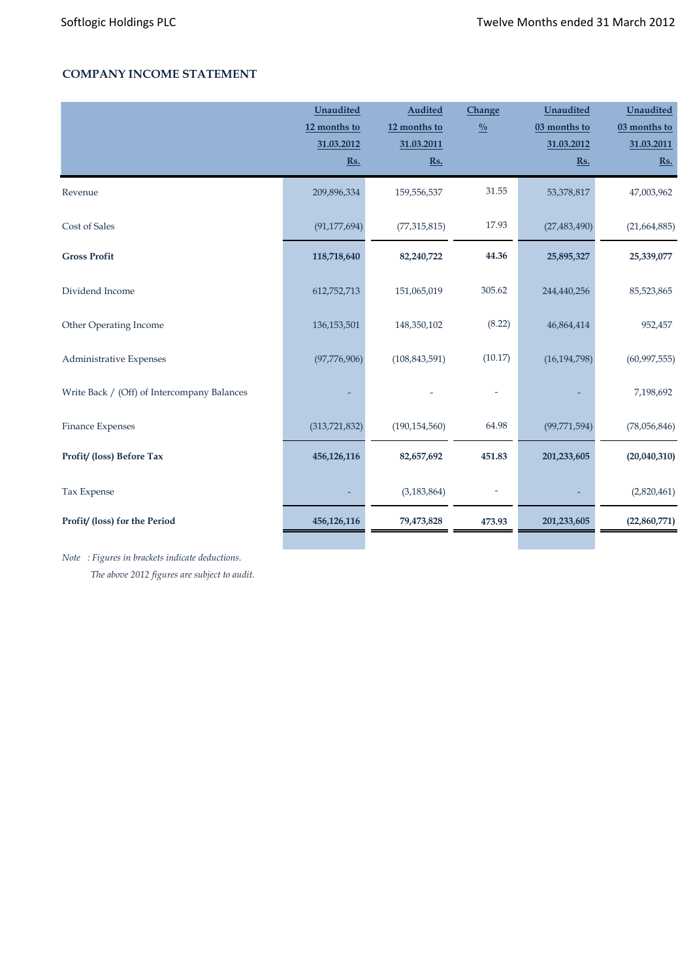# **COMPANY INCOME STATEMENT**

|                                             | Unaudited<br>12 months to<br>31.03.2012<br>$\underline{\mathbf{Rs}}$ . | <b>Audited</b><br>12 months to<br>31.03.2011<br>Rs. | Change<br>$\frac{0}{0}$ | Unaudited<br>03 months to<br>31.03.2012<br>Rs. | Unaudited<br>03 months to<br>31.03.2011<br>$\underline{\mathbf{Rs.}}$ |
|---------------------------------------------|------------------------------------------------------------------------|-----------------------------------------------------|-------------------------|------------------------------------------------|-----------------------------------------------------------------------|
| Revenue                                     | 209,896,334                                                            | 159,556,537                                         | 31.55                   | 53,378,817                                     | 47,003,962                                                            |
| Cost of Sales                               | (91, 177, 694)                                                         | (77, 315, 815)                                      | 17.93                   | (27, 483, 490)                                 | (21,664,885)                                                          |
| <b>Gross Profit</b>                         | 118,718,640                                                            | 82,240,722                                          | 44.36                   | 25,895,327                                     | 25,339,077                                                            |
| Dividend Income                             | 612,752,713                                                            | 151,065,019                                         | 305.62                  | 244,440,256                                    | 85,523,865                                                            |
| Other Operating Income                      | 136, 153, 501                                                          | 148,350,102                                         | (8.22)                  | 46,864,414                                     | 952,457                                                               |
| Administrative Expenses                     | (97,776,906)                                                           | (108, 843, 591)                                     | (10.17)                 | (16, 194, 798)                                 | (60, 997, 555)                                                        |
| Write Back / (Off) of Intercompany Balances |                                                                        |                                                     |                         |                                                | 7,198,692                                                             |
| Finance Expenses                            | (313, 721, 832)                                                        | (190, 154, 560)                                     | 64.98                   | (99, 771, 594)                                 | (78,056,846)                                                          |
| Profit/ (loss) Before Tax                   | 456,126,116                                                            | 82,657,692                                          | 451.83                  | 201,233,605                                    | (20,040,310)                                                          |
| Tax Expense                                 |                                                                        | (3, 183, 864)                                       |                         |                                                | (2,820,461)                                                           |
| Profit/ (loss) for the Period               | 456,126,116                                                            | 79,473,828                                          | 473.93                  | 201,233,605                                    | (22,860,771)                                                          |

*Note : Figures in brackets indicate deductions. The above 2012 figures are subject to audit.*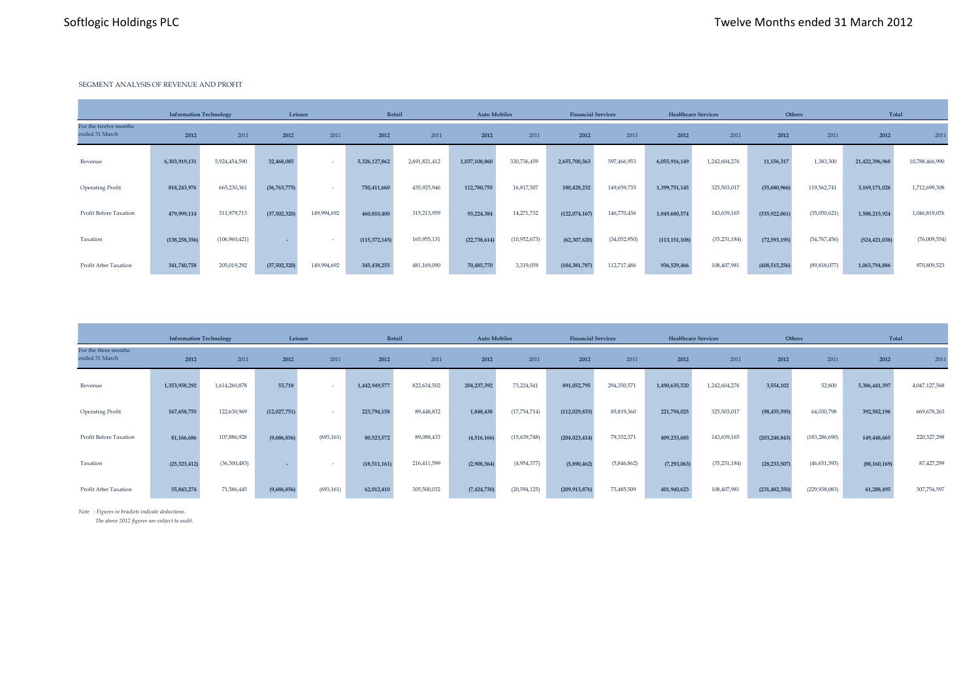#### SEGMENT ANALYSIS OF REVENUE AND PROFIT

|                                         |                 | <b>Information Technology</b> |              | Leisure     |               | Retail<br><b>Auto Mobiles</b> |               | <b>Financial Services</b> |                 | <b>Healthcare Services</b> |                 | Others         |                 | Total        |                 |                |
|-----------------------------------------|-----------------|-------------------------------|--------------|-------------|---------------|-------------------------------|---------------|---------------------------|-----------------|----------------------------|-----------------|----------------|-----------------|--------------|-----------------|----------------|
| For the twelve months<br>ended 31 March | 2012            | 2011                          | 2012         | 2011        | 2012          | 2011                          | 2012          | 2011                      | 2012            | 2011                       | 2012            | 2011           | 2012            | 2011         | 2012            | 2011           |
| Revenue                                 | 6,303,919,131   | 5,924,454,590                 | 32,468,085   |             | 5,326,127,862 | 2,691,821,412                 | 1,037,108,860 | 330,736,459               | 2,655,700,563   | 597,466,953                | 6,055,916,149   | 1,242,604,276  | 11,156,317      | 1,383,300    | 21,422,396,968  | 10,788,466,990 |
| <b>Operating Profit</b>                 | 818,243,976     | 665,230,361                   | (36,763,775) |             | 750,411,660   | 435,925,946                   | 112,780,755   | 16,817,507                | 180,428,232     | 149,659,735                | 1,399,751,145   | 325,503,017    | (55,680,966)    | 119,562,741  | 3,169,171,026   | 1,712,699,308  |
| Profit Before Taxation                  | 479,999,114     | 311,979,713                   | (37,502,320) | 149,994,692 | 460,810,400   | 315,213,959                   | 93,224,384    | 14,271,732                | (122,074,167)   | 146,770,436                | 1,049,680,574   | 143,639,165    | (335, 922, 061) | (35,050,621) | 1,588,215,924   | 1,046,819,076  |
| Taxation                                | (138, 258, 356) | (106, 960, 421)               |              |             | (115,372,145) | 165,955,131                   | (22,738,614)  | (10,952,673)              | (62, 307, 620)  | (34,052,950)               | (113, 151, 108) | (35, 231, 184) | (72, 593, 195)  | (54,767,456) | (524, 421, 038) | (76,009,554)   |
| Profit After Taxation                   | 341,740,758     | 205,019,292                   | (37,502,320) | 149,994,692 | 345,438,255   | 481,169,090                   | 70,485,770    | 3,319,059                 | (184, 381, 787) | 112,717,486                | 936,529,466     | 108,407,981    | (408, 515, 256) | (89,818,077) | 1,063,794,886   | 970,809,523    |

| <b>Information Technology</b>          |               |               | Leisure      |            | Retail        |             | <b>Auto Mobiles</b><br><b>Financial Services</b> |                | <b>Healthcare Services</b> |             | Others        |                | <b>Total</b>    |                 |                |               |
|----------------------------------------|---------------|---------------|--------------|------------|---------------|-------------|--------------------------------------------------|----------------|----------------------------|-------------|---------------|----------------|-----------------|-----------------|----------------|---------------|
| For the three months<br>ended 31 March | 2012          | 2011          | 2012         | 2011       | 2012          | 2011        | 2012                                             | 2011           | 2012                       | 2011        | 2012          | 2011           | 2012            | 2011            | 2012           | 2011          |
| Revenue                                | 1,353,958,292 | 1,614,260,878 | 53,718       |            | 1,442,949,577 | 822,634,502 | 204, 237, 392                                    | 73,224,541     | 891,052,795                | 294,350,571 | 1,490,635,520 | 1,242,604,276  | 3,554,102       | 52,800          | 5,386,441,397  | 4,047,127,568 |
| <b>Operating Profit</b>                | 167, 658, 755 | 122,630,969   | (12,027,751) |            | 223,794,158   | 89,448,832  | 1,848,438                                        | (17, 754, 714) | (112, 029, 833)            | 85,819,360  | 221,794,025   | 325,503,017    | (98, 455, 595)  | 64,030,798      | 392,582,196    | 669,678,263   |
| Profit Before Taxation                 | 81,166,686    | 107,886,928   | (9,686,856)  | (693, 161) | 80,523,572    | 89,088,433  | (4,516,166)                                      | (15,639,748)   | (204, 023, 414)            | 79,332,371  | 409,233,685   | 143,639,165    | (203, 248, 843) | (183, 286, 690) | 149,448,665    | 220,327,298   |
| Taxation                               | (25,323,412)  | (36,300,483)  |              |            | (18,511,161)  | 216,411,599 | (2,908,564)                                      | (4,954,377)    | (5,890,462)                | (5,846,862) | (7, 293, 063) | (35, 231, 184) | (28, 233, 507)  | (46, 651, 393)  | (88, 160, 169) | 87,427,299    |
| Profit After Taxation                  | 55,843,274    | 71,586,445    | (9,686,856)  | (693, 161) | 62,012,410    | 305,500,032 | (7,424,730)                                      | (20, 594, 125) | (209, 913, 876)            | 73,485,509  | 401,940,623   | 108,407,981    | (231, 482, 350) | (229, 938, 083) | 61,288,495     | 307,754,597   |

*Note : Figures in brackets indicate deductions.*

 *The above 2012 figures are subject to audit.*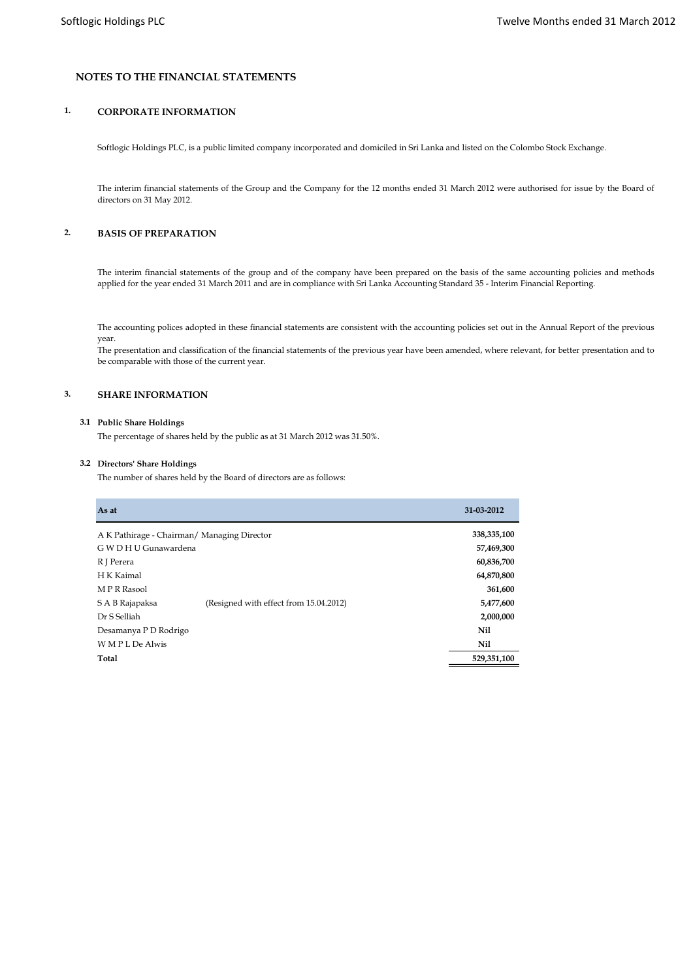## **NOTES TO THE FINANCIAL STATEMENTS**

## **1. CORPORATE INFORMATION**

Softlogic Holdings PLC, is a public limited company incorporated and domiciled in Sri Lanka and listed on the Colombo Stock Exchange.

The interim financial statements of the Group and the Company for the 12 months ended 31 March 2012 were authorised for issue by the Board of directors on 31 May 2012.

## **2. BASIS OF PREPARATION**

The interim financial statements of the group and of the company have been prepared on the basis of the same accounting policies and methods applied for the year ended 31 March 2011 and are in compliance with Sri Lanka Accounting Standard 35 - Interim Financial Reporting.

The accounting polices adopted in these financial statements are consistent with the accounting policies set out in the Annual Report of the previous year.

The presentation and classification of the financial statements of the previous year have been amended, where relevant, for better presentation and to be comparable with those of the current year.

## **3. SHARE INFORMATION**

#### **3.1 Public Share Holdings**

The percentage of shares held by the public as at 31 March 2012 was 31.50%.

### **3.2 Directors' Share Holdings**

The number of shares held by the Board of directors are as follows:

| As at                                       |                                        | 31-03-2012 |
|---------------------------------------------|----------------------------------------|------------|
| A K Pathirage - Chairman/ Managing Director | 338,335,100                            |            |
| G W D H U Gunawardena                       |                                        | 57,469,300 |
| R J Perera                                  |                                        | 60,836,700 |
| H K Kaimal                                  |                                        | 64,870,800 |
| M P R Rasool                                |                                        | 361,600    |
| S A B Rajapaksa                             | (Resigned with effect from 15.04.2012) | 5,477,600  |
| Dr S Selliah                                |                                        | 2,000,000  |
| Desamanya P D Rodrigo                       | Nil                                    |            |
| W M P L De Alwis                            | Nil                                    |            |
| Total                                       | 529,351,100                            |            |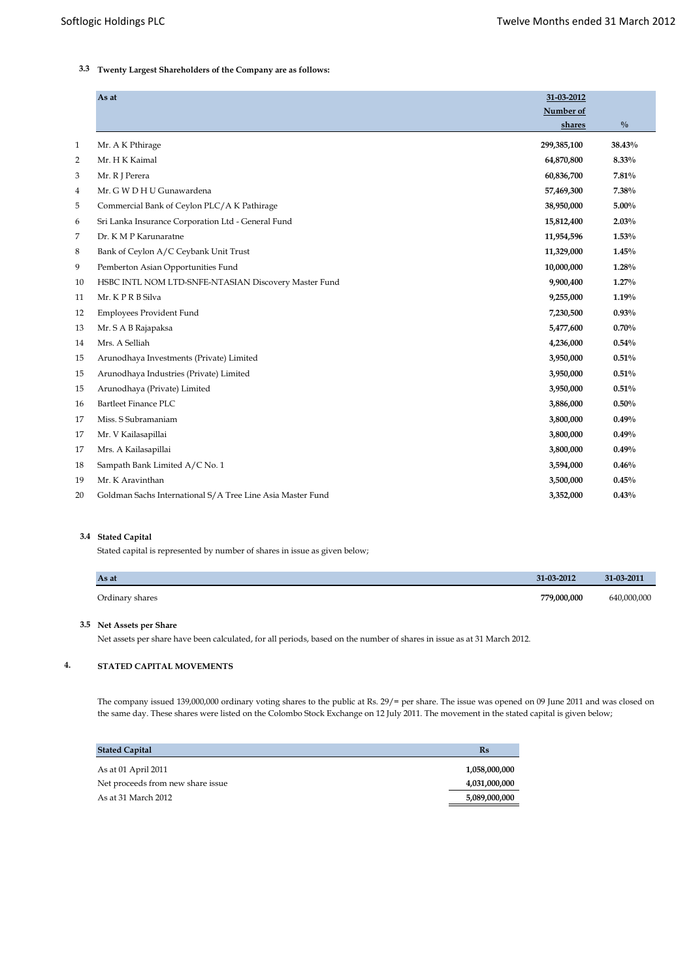# **3.3 Twenty Largest Shareholders of the Company are as follows:**

|              | As at                                                      | 31-03-2012  |               |
|--------------|------------------------------------------------------------|-------------|---------------|
|              |                                                            | Number of   |               |
|              |                                                            | shares      | $\frac{0}{0}$ |
| $\mathbf{1}$ | Mr. A K Pthirage                                           | 299,385,100 | 38.43%        |
| 2            | Mr. H K Kaimal                                             | 64,870,800  | 8.33%         |
| 3            | Mr. R J Perera                                             | 60,836,700  | 7.81%         |
| 4            | Mr. G W D H U Gunawardena                                  | 57,469,300  | 7.38%         |
| 5            | Commercial Bank of Ceylon PLC/A K Pathirage                | 38,950,000  | 5.00%         |
| 6            | Sri Lanka Insurance Corporation Ltd - General Fund         | 15,812,400  | 2.03%         |
| 7            | Dr. K M P Karunaratne                                      | 11,954,596  | 1.53%         |
| 8            | Bank of Ceylon A/C Ceybank Unit Trust                      | 11,329,000  | 1.45%         |
| 9            | Pemberton Asian Opportunities Fund                         | 10,000,000  | 1.28%         |
| 10           | HSBC INTL NOM LTD-SNFE-NTASIAN Discovery Master Fund       | 9,900,400   | $1.27\%$      |
| 11           | Mr. KPRB Silva                                             | 9,255,000   | 1.19%         |
| 12           | Employees Provident Fund                                   | 7,230,500   | 0.93%         |
| 13           | Mr. S A B Rajapaksa                                        | 5,477,600   | 0.70%         |
| 14           | Mrs. A Selliah                                             | 4,236,000   | 0.54%         |
| 15           | Arunodhaya Investments (Private) Limited                   | 3,950,000   | 0.51%         |
| 15           | Arunodhaya Industries (Private) Limited                    | 3,950,000   | 0.51%         |
| 15           | Arunodhaya (Private) Limited                               | 3,950,000   | 0.51%         |
| 16           | Bartleet Finance PLC                                       | 3,886,000   | 0.50%         |
| 17           | Miss. S Subramaniam                                        | 3,800,000   | 0.49%         |
| 17           | Mr. V Kailasapillai                                        | 3,800,000   | 0.49%         |
| 17           | Mrs. A Kailasapillai                                       | 3,800,000   | 0.49%         |
| 18           | Sampath Bank Limited A/C No. 1                             | 3,594,000   | 0.46%         |
| 19           | Mr. K Aravinthan                                           | 3,500,000   | 0.45%         |
| 20           | Goldman Sachs International S/A Tree Line Asia Master Fund | 3,352,000   | 0.43%         |
|              |                                                            |             |               |

### **3.4 Stated Capital**

Stated capital is represented by number of shares in issue as given below;

| As at           | 31-03-2012  | 31-03-2011  |
|-----------------|-------------|-------------|
| Ordinary shares | 779,000,000 | 640,000,000 |

### **3.5 Net Assets per Share**

Net assets per share have been calculated, for all periods, based on the number of shares in issue as at 31 March 2012.

## **4. STATED CAPITAL MOVEMENTS**

The company issued 139,000,000 ordinary voting shares to the public at Rs. 29/= per share. The issue was opened on 09 June 2011 and was closed on the same day. These shares were listed on the Colombo Stock Exchange on 12 July 2011. The movement in the stated capital is given below;

| <b>Stated Capital</b>             | $\mathbf{Rs}$ |
|-----------------------------------|---------------|
| As at 01 April 2011               | 1,058,000,000 |
| Net proceeds from new share issue | 4,031,000,000 |
| As at 31 March 2012               | 5,089,000,000 |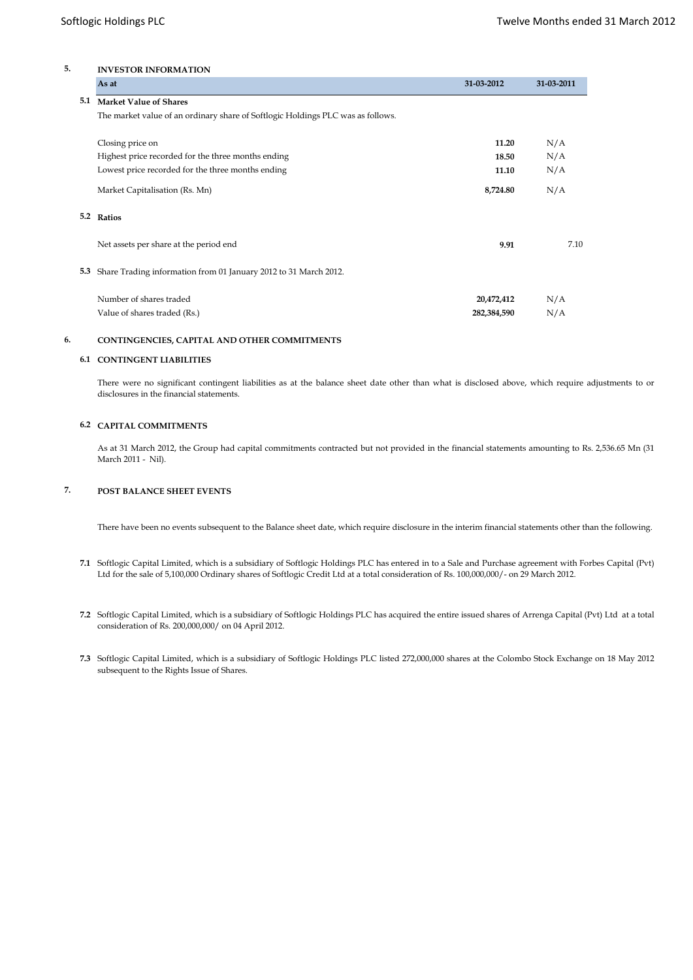## **5. INVESTOR INFORMATION**

|     | As at                                                                           | 31-03-2012  | 31-03-2011 |
|-----|---------------------------------------------------------------------------------|-------------|------------|
| 5.1 | <b>Market Value of Shares</b>                                                   |             |            |
|     | The market value of an ordinary share of Softlogic Holdings PLC was as follows. |             |            |
|     | Closing price on                                                                | 11.20       | N/A        |
|     | Highest price recorded for the three months ending                              | 18.50       | N/A        |
|     | Lowest price recorded for the three months ending                               | 11.10       | N/A        |
|     | Market Capitalisation (Rs. Mn)                                                  | 8,724.80    | N/A        |
|     | 5.2 Ratios                                                                      |             |            |
|     | Net assets per share at the period end                                          | 9.91        | 7.10       |
|     | 5.3 Share Trading information from 01 January 2012 to 31 March 2012.            |             |            |
|     | Number of shares traded                                                         | 20,472,412  | N/A        |
|     | Value of shares traded (Rs.)                                                    | 282,384,590 | N/A        |

## **6. CONTINGENCIES, CAPITAL AND OTHER COMMITMENTS**

#### **6.1 CONTINGENT LIABILITIES**

There were no significant contingent liabilities as at the balance sheet date other than what is disclosed above, which require adjustments to or disclosures in the financial statements.

#### **6.2 CAPITAL COMMITMENTS**

As at 31 March 2012, the Group had capital commitments contracted but not provided in the financial statements amounting to Rs. 2,536.65 Mn (31 March 2011 - Nil).

## **7. POST BALANCE SHEET EVENTS**

There have been no events subsequent to the Balance sheet date, which require disclosure in the interim financial statements other than the following.

- **7.1** Softlogic Capital Limited, which is a subsidiary of Softlogic Holdings PLC has entered in to a Sale and Purchase agreement with Forbes Capital (Pvt) Ltd for the sale of 5,100,000 Ordinary shares of Softlogic Credit Ltd at a total consideration of Rs. 100,000,000/- on 29 March 2012.
- **7.2** Softlogic Capital Limited, which is a subsidiary of Softlogic Holdings PLC has acquired the entire issued shares of Arrenga Capital (Pvt) Ltd at a total consideration of Rs. 200,000,000/ on 04 April 2012.
- **7.3** Softlogic Capital Limited, which is a subsidiary of Softlogic Holdings PLC listed 272,000,000 shares at the Colombo Stock Exchange on 18 May 2012 subsequent to the Rights Issue of Shares.